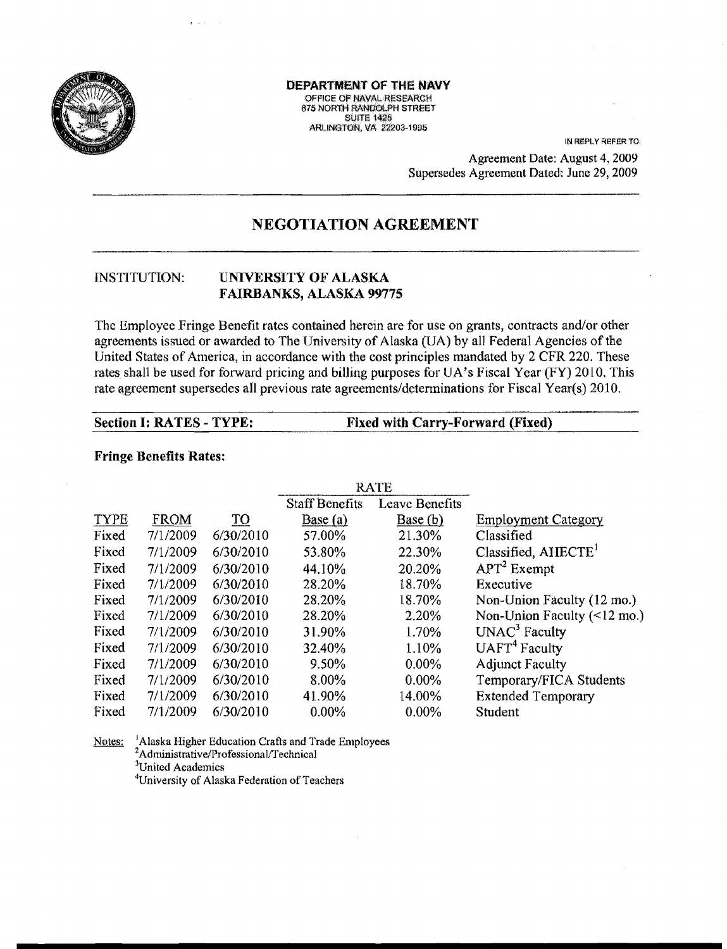

DEPARTMENT OF THE NAVY OFFICE OF NAVAL RESEARCH 875 NORTH RANDOLPH STREET **SUITE 1425 ARLINGTON, VA 22203-1995** 

> IN REPLY REFER TO: Agreement Date: August 4, 2009 Supersedes Agreement Dated: June 29, 2009

# **NEGOTIATION AGREEMENT**

#### UNIVERSITY OF ALASKA **INSTITUTION: FAIRBANKS, ALASKA 99775**

The Employee Fringe Benefit rates contained herein are for use on grants, contracts and/or other agreements issued or awarded to The University of Alaska (UA) by all Federal Agencies of the United States of America, in accordance with the cost principles mandated by 2 CFR 220. These rates shall be used for forward pricing and billing purposes for UA's Fiscal Year (FY) 2010. This rate agreement supersedes all previous rate agreements/determinations for Fiscal Year(s) 2010.

**Section I: RATES - TYPE:** 

**Fixed with Carry-Forward (Fixed)** 

#### **Fringe Benefits Rates:**

|             |          |           | <b>RATE</b>           |                       |                                           |
|-------------|----------|-----------|-----------------------|-----------------------|-------------------------------------------|
|             |          |           | <b>Staff Benefits</b> | <b>Leave Benefits</b> |                                           |
| <b>TYPE</b> | FROM     | TО        | Base(a)               | Base (b)              | <b>Employment Category</b>                |
| Fixed       | 7/1/2009 | 6/30/2010 | 57.00%                | 21.30%                | Classified                                |
| Fixed       | 7/1/2009 | 6/30/2010 | 53.80%                | 22.30%                | Classified, $AHECTET$                     |
| Fixed       | 7/1/2009 | 6/30/2010 | 44.10%                | 20.20%                | $APT2$ Exempt                             |
| Fixed       | 7/1/2009 | 6/30/2010 | 28.20%                | 18.70%                | Executive                                 |
| Fixed       | 7/1/2009 | 6/30/2010 | 28.20%                | 18.70%                | Non-Union Faculty (12 mo.)                |
| Fixed       | 7/1/2009 | 6/30/2010 | 28.20%                | 2.20%                 | Non-Union Faculty $(\leq 12 \text{ mo.})$ |
| Fixed       | 7/1/2009 | 6/30/2010 | 31.90%                | 1.70%                 | $UNAC3$ Faculty                           |
| Fixed       | 7/1/2009 | 6/30/2010 | 32.40%                | 1.10%                 | UATT <sup>4</sup> Faculty                 |
| Fixed       | 7/1/2009 | 6/30/2010 | 9.50%                 | $0.00\%$              | <b>Adjunct Faculty</b>                    |
| Fixed       | 7/1/2009 | 6/30/2010 | 8.00%                 | $0.00\%$              | Temporary/FICA Students                   |
| Fixed       | 7/1/2009 | 6/30/2010 | 41.90%                | 14.00%                | <b>Extended Temporary</b>                 |
| Fixed       | 7/1/2009 | 6/30/2010 | $0.00\%$              | $0.00\%$              | Student                                   |

Notes: <sup>1</sup>Alaska Higher Education Crafts and Trade Employees <sup>2</sup>Administrative/Professional/Technical <sup>3</sup>United Academics <sup>4</sup>University of Alaska Federation of Teachers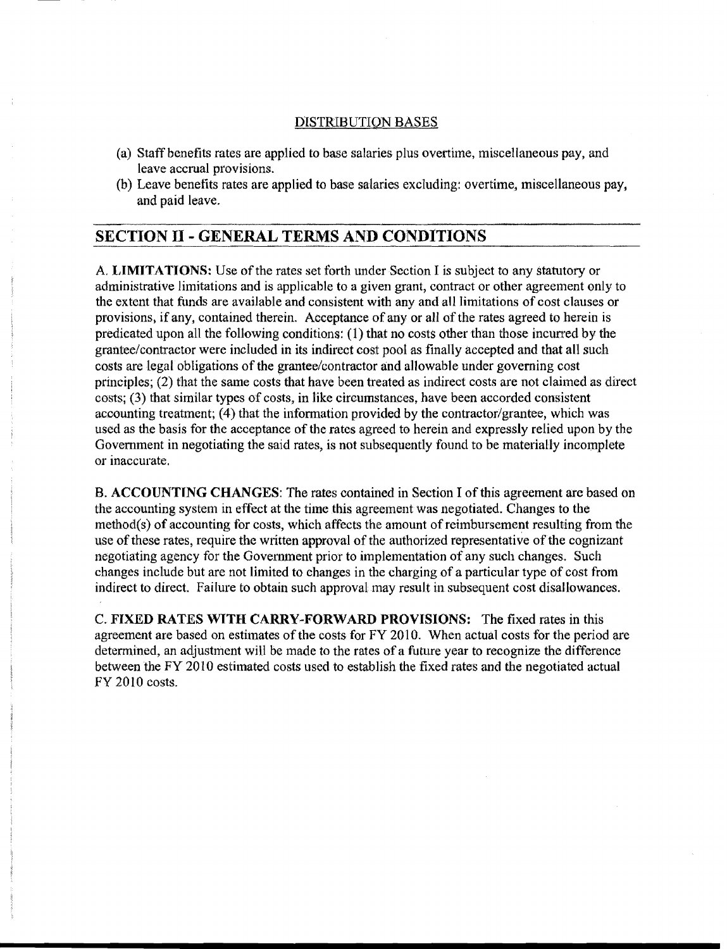### DISTRIBUTION BASES

- (a) Staff benefits rates are applied to base salaries plus overtime, miscellaneous pay, and leave accrual provisions.
- (b) Leave benefits rates are applied to base salaries excluding: overtime, miscellaneous pay, and paid leave.

 $\overline{a}$ 

## SECTION II - GENERAL TERMS AND CONDITIONS

A. LIMITATIONS: Use of the rates set forth under Section I is subject to any statutory or administrative limitations and is applicable to a given grant, contract or other agreement only to the extent that funds are available and consistent with any and all limitations of cost clauses or provisions, if any, contained therein. Acceptance of any or all of the rates agreed to herein is predicated upon all the following conditions: (1) that no costs other than those incurred by the grantee/contractor were included in its indirect cost pool as finally accepted and that all such costs are legal obligations of the grantee/contractor and allowable under governing cost principles; (2) that the same costs that have been treated as indirect costs are not claimed as direct costs; (3) that similar types of costs, in like circumstances, have been accorded consistent accounting treatment; (4) that the information provided by the contractor/grantee, which was used as the basis for the acceptance of the rates agreed to herein and expressly relied upon by the Government in negotiating the said rates, is not subsequently found to be materially incomplete or inaccurate.

B. ACCOUNTING CHANGES: The rates contained in Section I ofthis agreement are based on the accounting system in effect at the time this agreement was negotiated. Changes to the  $method(s)$  of accounting for costs, which affects the amount of reimbursement resulting from the use of these rates, require the written approval of the authorized representative of the cognizant negotiating agency for the Government prior to implementation of any such changes. Such changes include but are not limited to changes in the charging of a particular type of cost from indirect to direct. Failure to obtain such approval may result in subsequent cost disallowances.

C. FIXED RATES WITH CARRY-FORWARD PROVISIONS: The fixed rates in this agreement are based on estimates of the costs for FY 2010. When actual costs for the period are determined, an adjustment will be made to the rates of a future year to recognize the difference between the FY 2010 estimated costs used to establish the fixed rates and the negotiated actual FY 20 10 costs.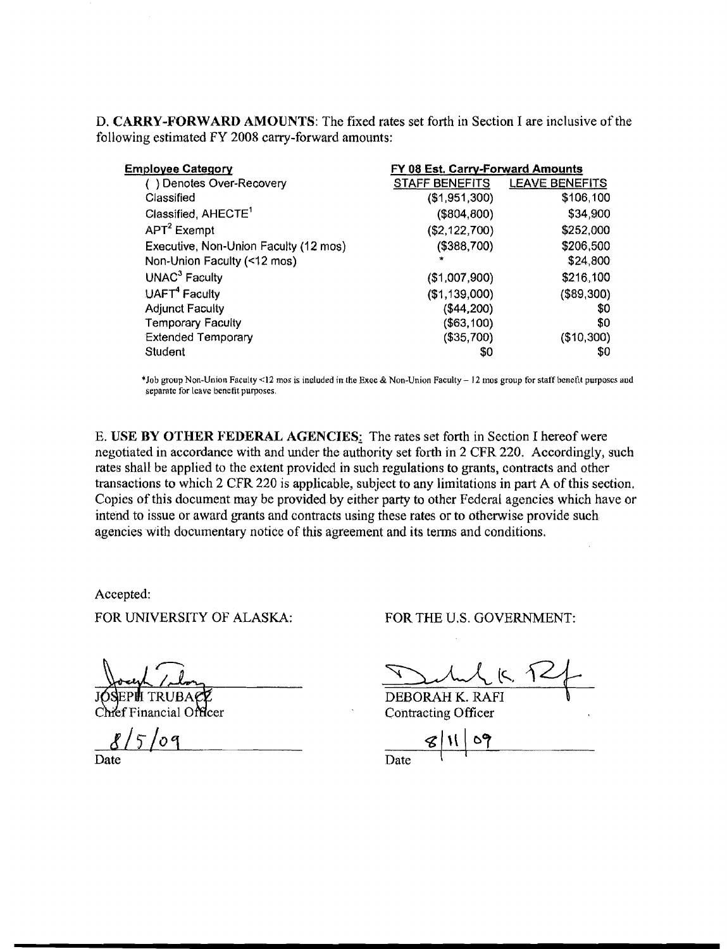D. CARRY-FORWARD AMOUNTS: The fixed rates set forth in Section I are inclusive of the following estimated FY 2008 carry-forward amounts:

| <b>Employee Category</b>              | FY 08 Est. Carry-Forward Amounts |                       |  |
|---------------------------------------|----------------------------------|-----------------------|--|
| ) Denotes Over-Recovery               | <b>STAFF BENEFITS</b>            | <b>LEAVE BENEFITS</b> |  |
| Classified                            | (\$1,951,300)                    | \$106,100             |  |
| Classified, AHECTE <sup>1</sup>       | (\$804, 800)                     | \$34,900              |  |
| $APT2$ Exempt                         | (\$2,122,700)                    | \$252,000             |  |
| Executive, Non-Union Faculty (12 mos) | (\$388,700)                      | \$206,500             |  |
| Non-Union Faculty (<12 mos)           |                                  | \$24,800              |  |
| UNAC <sup>3</sup> Faculty             | (\$1,007,900)                    | \$216,100             |  |
| UAFT <sup>4</sup> Faculty             | (\$1,139,000)                    | (\$89,300)            |  |
| <b>Adjunct Faculty</b>                | (\$44,200)                       | \$0                   |  |
| <b>Temporary Faculty</b>              | (\$63,100)                       | \$0                   |  |
| <b>Extended Temporary</b>             | (\$35,700)                       | (\$10,300)            |  |
| Student                               | \$0                              | SO                    |  |

\*Job group Non-Union Faculty <12 mos is included in the Exec & Non-Union Faculty  $-12$  mos group for staff benefit purposes and separate for leave benefit purposes.

E. USE BY OTHER FEDERAL AGENCIES: The rates set forth in Section I hereof were negotiated in accordance with and under the authority set forth in 2 CFR 220. Accordingly, such rates shall be applied to the extent provided in such regulations to grants, contracts and other transactions to which 2 CFR 220 is applicable, subject to any limitations in part A of this section. Copies of this document may be provided by either party to other Federal agencies which have or intend to issue or award grants and contracts using these rates or to otherwise provide such agencies with documentary notice of this agreement and its terms and conditions.

Accepted:

FOR UNIVERSITY OF ALASKA: FOR THE U.S. GOVERNMENT:

 $\pi_{11}$   $\pi_{12}$   $\pi_{21}$ 

DEBORAH K. RAFI Contracting Officer

 $\frac{8}{5}$  *o*q  $\frac{8}{11}$   $\frac{6}{7}$